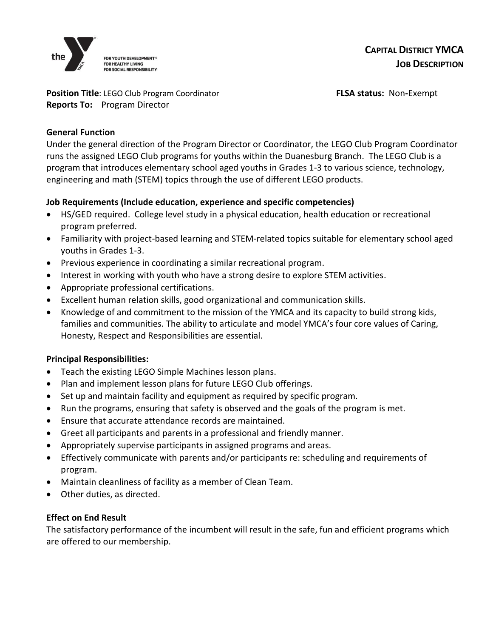

#### **Position Title**: LEGO Club Program Coordinator **FLSA status: Non-Exempt Reports To:** Program Director

# **General Function**

Under the general direction of the Program Director or Coordinator, the LEGO Club Program Coordinator runs the assigned LEGO Club programs for youths within the Duanesburg Branch. The LEGO Club is a program that introduces elementary school aged youths in Grades 1-3 to various science, technology, engineering and math (STEM) topics through the use of different LEGO products.

# **Job Requirements (Include education, experience and specific competencies)**

- HS/GED required. College level study in a physical education, health education or recreational program preferred.
- Familiarity with project-based learning and STEM-related topics suitable for elementary school aged youths in Grades 1-3.
- Previous experience in coordinating a similar recreational program.
- Interest in working with youth who have a strong desire to explore STEM activities.
- Appropriate professional certifications.
- Excellent human relation skills, good organizational and communication skills.
- Knowledge of and commitment to the mission of the YMCA and its capacity to build strong kids, families and communities. The ability to articulate and model YMCA's four core values of Caring, Honesty, Respect and Responsibilities are essential.

# **Principal Responsibilities:**

- Teach the existing LEGO Simple Machines lesson plans.
- Plan and implement lesson plans for future LEGO Club offerings.
- Set up and maintain facility and equipment as required by specific program.
- Run the programs, ensuring that safety is observed and the goals of the program is met.
- Ensure that accurate attendance records are maintained.
- Greet all participants and parents in a professional and friendly manner.
- Appropriately supervise participants in assigned programs and areas.
- Effectively communicate with parents and/or participants re: scheduling and requirements of program.
- Maintain cleanliness of facility as a member of Clean Team.
- Other duties, as directed.

# **Effect on End Result**

The satisfactory performance of the incumbent will result in the safe, fun and efficient programs which are offered to our membership.